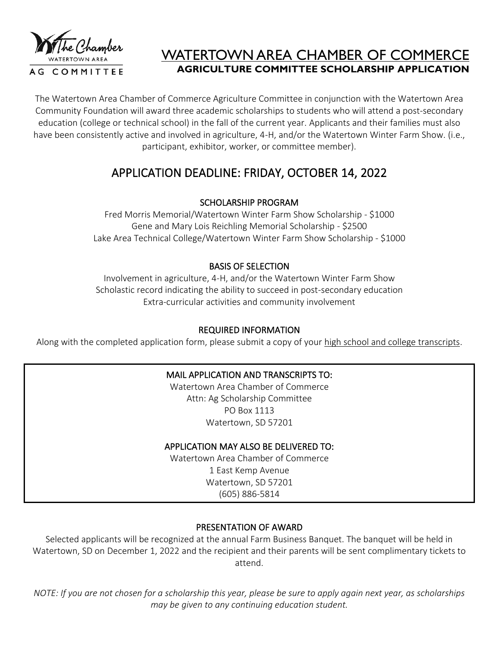

# WATERTOWN AREA CHAMBER OF COMMERCE **AGRICULTURE COMMITTEE SCHOLARSHIP APPLICATION**

The Watertown Area Chamber of Commerce Agriculture Committee in conjunction with the Watertown Area Community Foundation will award three academic scholarships to students who will attend a post-secondary education (college or technical school) in the fall of the current year. Applicants and their families must also have been consistently active and involved in agriculture, 4-H, and/or the Watertown Winter Farm Show. (i.e., participant, exhibitor, worker, or committee member).

# APPLICATION DEADLINE: FRIDAY, OCTOBER 14, 2022

# SCHOLARSHIP PROGRAM

Fred Morris Memorial/Watertown Winter Farm Show Scholarship - \$1000 Gene and Mary Lois Reichling Memorial Scholarship - \$2500 Lake Area Technical College/Watertown Winter Farm Show Scholarship - \$1000

# BASIS OF SELECTION

Involvement in agriculture, 4-H, and/or the Watertown Winter Farm Show Scholastic record indicating the ability to succeed in post-secondary education Extra-curricular activities and community involvement

# REQUIRED INFORMATION

Along with the completed application form, please submit a copy of your high school and college transcripts.

# MAIL APPLICATION AND TRANSCRIPTS TO:

Watertown Area Chamber of Commerce Attn: Ag Scholarship Committee PO Box 1113 Watertown, SD 57201

#### APPLICATION MAY ALSO BE DELIVERED TO:

Watertown Area Chamber of Commerce 1 East Kemp Avenue Watertown, SD 57201 (605) 886-5814

# PRESENTATION OF AWARD

Selected applicants will be recognized at the annual Farm Business Banquet. The banquet will be held in Watertown, SD on December 1, 2022 and the recipient and their parents will be sent complimentary tickets to attend.

*NOTE: If you are not chosen for a scholarship this year, please be sure to apply again next year, as scholarships may be given to any continuing education student.*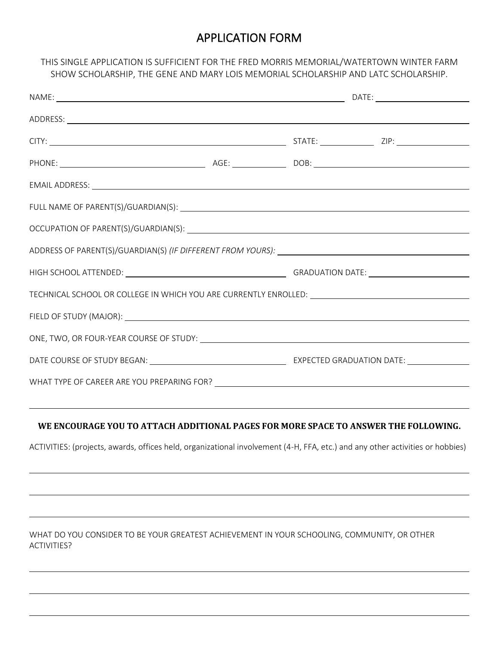# APPLICATION FORM

#### THIS SINGLE APPLICATION IS SUFFICIENT FOR THE FRED MORRIS MEMORIAL/WATERTOWN WINTER FARM SHOW SCHOLARSHIP, THE GENE AND MARY LOIS MEMORIAL SCHOLARSHIP AND LATC SCHOLARSHIP.

| TECHNICAL SCHOOL OR COLLEGE IN WHICH YOU ARE CURRENTLY ENROLLED: ___________________________________ |  |  |  |
|------------------------------------------------------------------------------------------------------|--|--|--|
|                                                                                                      |  |  |  |
|                                                                                                      |  |  |  |
|                                                                                                      |  |  |  |
|                                                                                                      |  |  |  |

#### **WE ENCOURAGE YOU TO ATTACH ADDITIONAL PAGES FOR MORE SPACE TO ANSWER THE FOLLOWING.**

ACTIVITIES: (projects, awards, offices held, organizational involvement (4-H, FFA, etc.) and any other activities or hobbies)

WHAT DO YOU CONSIDER TO BE YOUR GREATEST ACHIEVEMENT IN YOUR SCHOOLING, COMMUNITY, OR OTHER ACTIVITIES?